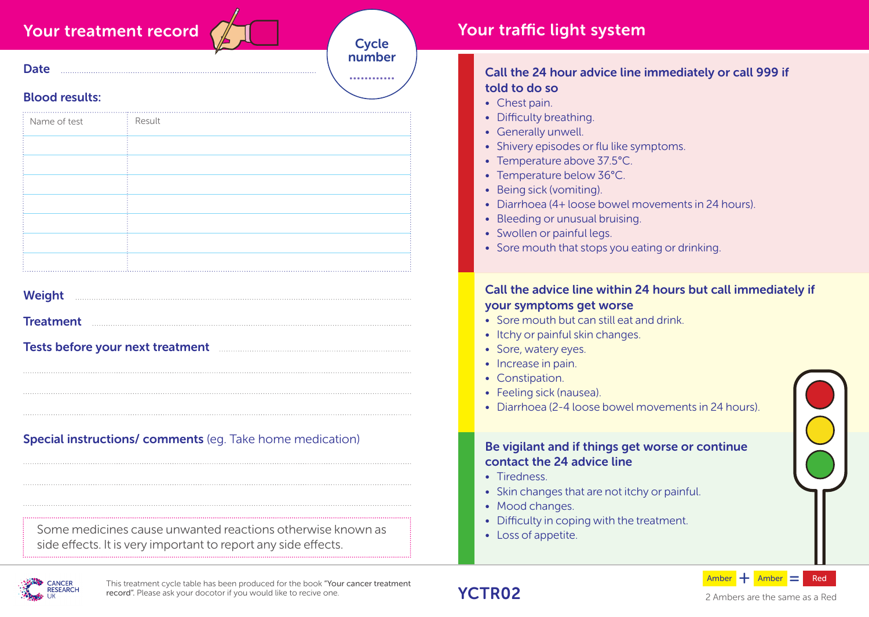## Your treatment record

**Cycle** number ............

# Blood results:

**Date** 

| Name of test | Result |  |
|--------------|--------|--|
|              |        |  |
|              |        |  |
|              |        |  |
|              |        |  |
|              |        |  |
|              |        |  |
|              |        |  |
|              |        |  |
|              |        |  |
|              |        |  |

| <b>Weight</b> |  |
|---------------|--|
|---------------|--|

**Treatment** 

Tests before your next treatment

Special instructions/ comments (eg. Take home medication)

Some medicines cause unwanted reactions otherwise known as side effects. It is very important to report any side effects.

### Your traffic light system

#### Call the 24 hour advice line immediately or call 999 if told to do so

- Chest pain.
- Difficulty breathing.
- Generally unwell.
- Shivery episodes or flu like symptoms.
- Temperature above 37.5°C.
- Temperature below 36°C.
- Being sick (vomiting).
- Diarrhoea (4+ loose bowel movements in 24 hours).
- Bleeding or unusual bruising.
- Swollen or painful legs.
- Sore mouth that stops you eating or drinking.

#### Call the advice line within 24 hours but call immediately if your symptoms get worse

- Sore mouth but can still eat and drink.
- Itchy or painful skin changes.
- Sore, watery eyes.
- Increase in pain.
- Constipation.
- Feeling sick (nausea).
- Diarrhoea (2-4 loose bowel movements in 24 hours).

#### Be vigilant and if things get worse or continue contact the 24 advice line

• Tiredness

YCTR02

- Skin changes that are not itchy or painful.
- Mood changes.
- Difficulty in coping with the treatment.
- Loss of appetite.



This treatment cycle table has been produced for the book "Your cancer treatment record". Please ask your docotor if you would like to recive one.